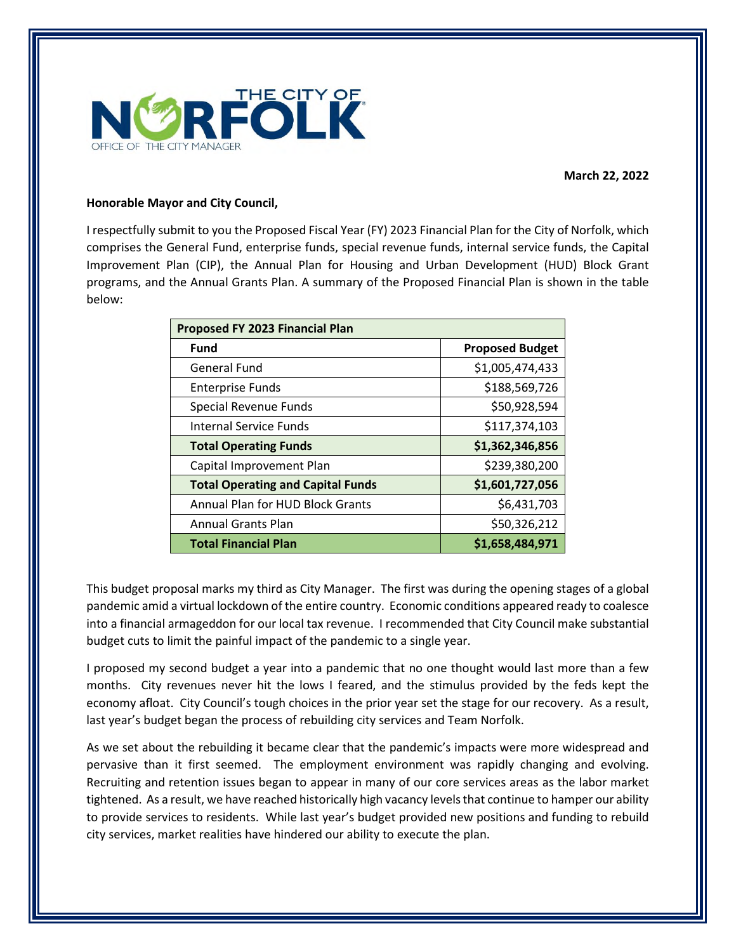

**March 22, 2022** 

### **Honorable Mayor and City Council,**

I respectfully submit to you the Proposed Fiscal Year (FY) 2023 Financial Plan for the City of Norfolk, which comprises the General Fund, enterprise funds, special revenue funds, internal service funds, the Capital Improvement Plan (CIP), the Annual Plan for Housing and Urban Development (HUD) Block Grant programs, and the Annual Grants Plan. A summary of the Proposed Financial Plan is shown in the table below:

| <b>Proposed FY 2023 Financial Plan</b>   |                        |  |  |  |  |
|------------------------------------------|------------------------|--|--|--|--|
| <b>Fund</b>                              | <b>Proposed Budget</b> |  |  |  |  |
| <b>General Fund</b>                      | \$1,005,474,433        |  |  |  |  |
| <b>Enterprise Funds</b>                  | \$188,569,726          |  |  |  |  |
| Special Revenue Funds                    | \$50,928,594           |  |  |  |  |
| <b>Internal Service Funds</b>            | \$117,374,103          |  |  |  |  |
| <b>Total Operating Funds</b>             | \$1,362,346,856        |  |  |  |  |
| Capital Improvement Plan                 | \$239,380,200          |  |  |  |  |
| <b>Total Operating and Capital Funds</b> | \$1,601,727,056        |  |  |  |  |
| Annual Plan for HUD Block Grants         | \$6,431,703            |  |  |  |  |
| <b>Annual Grants Plan</b>                | \$50,326,212           |  |  |  |  |
| <b>Total Financial Plan</b>              | \$1,658,484,971        |  |  |  |  |

This budget proposal marks my third as City Manager. The first was during the opening stages of a global pandemic amid a virtual lockdown of the entire country. Economic conditions appeared ready to coalesce into a financial armageddon for our local tax revenue. I recommended that City Council make substantial budget cuts to limit the painful impact of the pandemic to a single year.

I proposed my second budget a year into a pandemic that no one thought would last more than a few months. City revenues never hit the lows I feared, and the stimulus provided by the feds kept the economy afloat. City Council's tough choices in the prior year set the stage for our recovery. As a result, last year's budget began the process of rebuilding city services and Team Norfolk.

As we set about the rebuilding it became clear that the pandemic's impacts were more widespread and pervasive than it first seemed. The employment environment was rapidly changing and evolving. Recruiting and retention issues began to appear in many of our core services areas as the labor market tightened. As a result, we have reached historically high vacancy levels that continue to hamper our ability to provide services to residents. While last year's budget provided new positions and funding to rebuild city services, market realities have hindered our ability to execute the plan.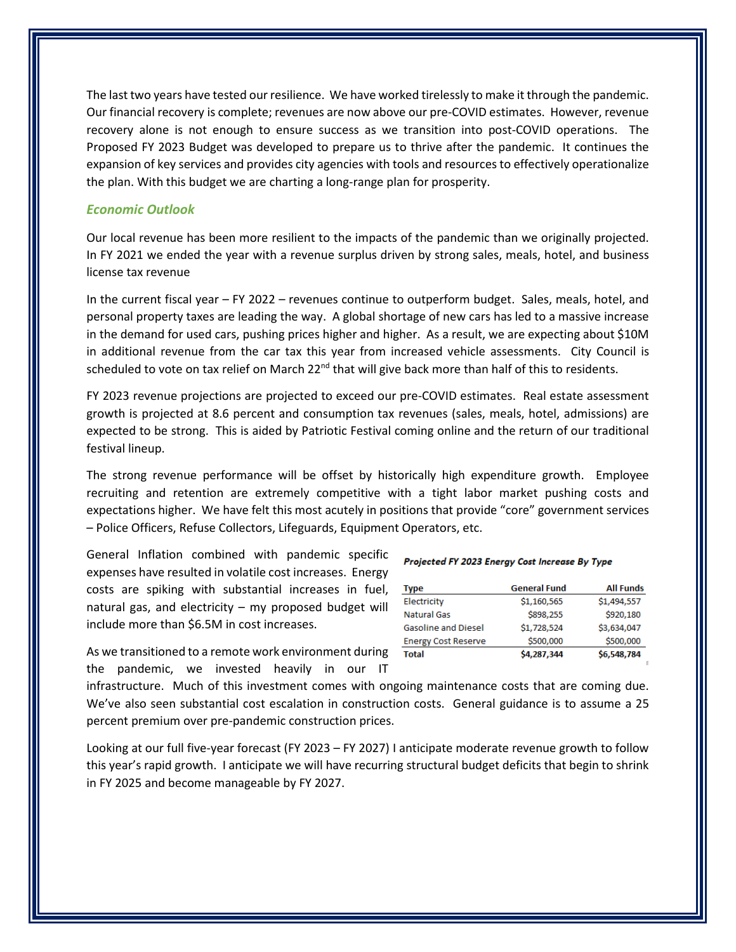The last two years have tested our resilience. We have worked tirelessly to make it through the pandemic. Our financial recovery is complete; revenues are now above our pre-COVID estimates. However, revenue recovery alone is not enough to ensure success as we transition into post-COVID operations. The Proposed FY 2023 Budget was developed to prepare us to thrive after the pandemic. It continues the expansion of key services and provides city agencies with tools and resources to effectively operationalize the plan. With this budget we are charting a long-range plan for prosperity.

### *Economic Outlook*

Our local revenue has been more resilient to the impacts of the pandemic than we originally projected. In FY 2021 we ended the year with a revenue surplus driven by strong sales, meals, hotel, and business license tax revenue

In the current fiscal year – FY 2022 – revenues continue to outperform budget. Sales, meals, hotel, and personal property taxes are leading the way. A global shortage of new cars has led to a massive increase in the demand for used cars, pushing prices higher and higher. As a result, we are expecting about \$10M in additional revenue from the car tax this year from increased vehicle assessments. City Council is scheduled to vote on tax relief on March 22<sup>nd</sup> that will give back more than half of this to residents.

FY 2023 revenue projections are projected to exceed our pre-COVID estimates. Real estate assessment growth is projected at 8.6 percent and consumption tax revenues (sales, meals, hotel, admissions) are expected to be strong. This is aided by Patriotic Festival coming online and the return of our traditional festival lineup.

The strong revenue performance will be offset by historically high expenditure growth. Employee recruiting and retention are extremely competitive with a tight labor market pushing costs and expectations higher. We have felt this most acutely in positions that provide "core" government services – Police Officers, Refuse Collectors, Lifeguards, Equipment Operators, etc.

General Inflation combined with pandemic specific expenses have resulted in volatile cost increases. Energy costs are spiking with substantial increases in fuel, natural gas, and electricity – my proposed budget will include more than \$6.5M in cost increases.

As we transitioned to a remote work environment during the pandemic, we invested heavily in our IT

#### Projected FY 2023 Energy Cost Increase By Type

| Type                       | <b>General Fund</b> | <b>All Funds</b> |
|----------------------------|---------------------|------------------|
| Electricity                | \$1,160,565         | \$1,494,557      |
| <b>Natural Gas</b>         | \$898,255           | \$920,180        |
| <b>Gasoline and Diesel</b> | \$1,728,524         | \$3,634,047      |
| <b>Energy Cost Reserve</b> | \$500,000           | \$500,000        |
| Total                      | \$4,287,344         | \$6,548,784      |

infrastructure. Much of this investment comes with ongoing maintenance costs that are coming due. We've also seen substantial cost escalation in construction costs. General guidance is to assume a 25 percent premium over pre-pandemic construction prices.

Looking at our full five-year forecast (FY 2023 – FY 2027) I anticipate moderate revenue growth to follow this year's rapid growth. I anticipate we will have recurring structural budget deficits that begin to shrink in FY 2025 and become manageable by FY 2027.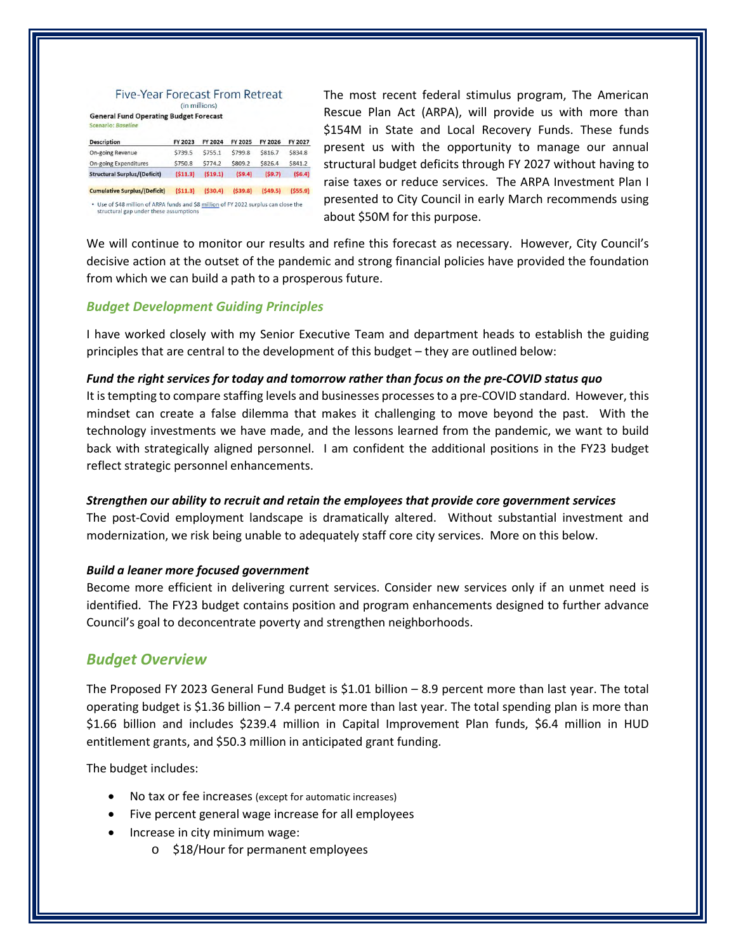#### Five-Year Forecast From Retreat (in millions)

**General Fund Operating Budget Forecast** 

| <b>Description</b>                  | FY 2023 | FY 2024 | FY 2025 | FY 2026 | FY 2027 |
|-------------------------------------|---------|---------|---------|---------|---------|
| <b>On-going Revenue</b>             | \$739.5 | \$755.1 | \$799.8 | \$816.7 | \$834.8 |
| <b>On-going Expenditures</b>        | \$750.8 | \$774.2 | \$809.2 | \$826.4 | \$841.2 |
| <b>Structural Surplus/(Deficit)</b> | (511.3) | (519.1) | (59.4)  | (59.7)  | (56.4)  |
| <b>Cumulative Surplus/(Deficit)</b> | (511.3) | (530.4) | (539.8) | (549.5) | (555.9) |

structural gap under these assumptions

The most recent federal stimulus program, The American Rescue Plan Act (ARPA), will provide us with more than \$154M in State and Local Recovery Funds. These funds present us with the opportunity to manage our annual structural budget deficits through FY 2027 without having to raise taxes or reduce services. The ARPA Investment Plan I presented to City Council in early March recommends using about \$50M for this purpose.

We will continue to monitor our results and refine this forecast as necessary. However, City Council's decisive action at the outset of the pandemic and strong financial policies have provided the foundation from which we can build a path to a prosperous future.

### *Budget Development Guiding Principles*

I have worked closely with my Senior Executive Team and department heads to establish the guiding principles that are central to the development of this budget – they are outlined below:

### *Fund the right services for today and tomorrow rather than focus on the pre-COVID status quo*

It is tempting to compare staffing levels and businesses processes to a pre-COVID standard. However, this mindset can create a false dilemma that makes it challenging to move beyond the past. With the technology investments we have made, and the lessons learned from the pandemic, we want to build back with strategically aligned personnel. I am confident the additional positions in the FY23 budget reflect strategic personnel enhancements.

### *Strengthen our ability to recruit and retain the employees that provide core government services*

The post-Covid employment landscape is dramatically altered. Without substantial investment and modernization, we risk being unable to adequately staff core city services. More on this below.

### *Build a leaner more focused government*

Become more efficient in delivering current services. Consider new services only if an unmet need is identified. The FY23 budget contains position and program enhancements designed to further advance Council's goal to deconcentrate poverty and strengthen neighborhoods.

# *Budget Overview*

The Proposed FY 2023 General Fund Budget is \$1.01 billion – 8.9 percent more than last year. The total operating budget is \$1.36 billion  $-7.4$  percent more than last year. The total spending plan is more than \$1.66 billion and includes \$239.4 million in Capital Improvement Plan funds, \$6.4 million in HUD entitlement grants, and \$50.3 million in anticipated grant funding.

The budget includes:

- No tax or fee increases (except for automatic increases)
- Five percent general wage increase for all employees
- Increase in city minimum wage:
	- o \$18/Hour for permanent employees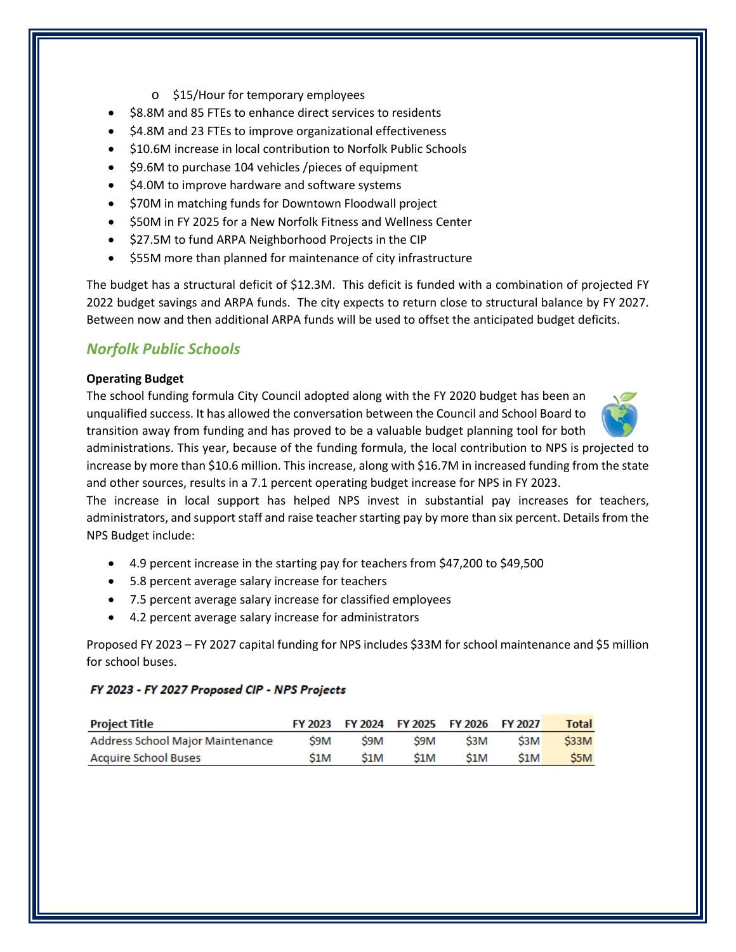- o \$15/Hour for temporary employees
- \$8.8M and 85 FTEs to enhance direct services to residents
- \$4.8M and 23 FTEs to improve organizational effectiveness
- $\bullet$  \$10.6M increase in local contribution to Norfolk Public Schools
- $\bullet$  \$9.6M to purchase 104 vehicles /pieces of equipment
- \$4.0M to improve hardware and software systems
- \$70M in matching funds for Downtown Floodwall project
- \$50M in FY 2025 for a New Norfolk Fitness and Wellness Center
- $\bullet$  \$27.5M to fund ARPA Neighborhood Projects in the CIP
- \$55M more than planned for maintenance of city infrastructure

The budget has a structural deficit of \$12.3M. This deficit is funded with a combination of projected FY 2022 budget savings and ARPA funds. The city expects to return close to structural balance by FY 2027. Between now and then additional ARPA funds will be used to offset the anticipated budget deficits.

# *Norfolk Public Schools*

### **Operating Budget**

The school funding formula City Council adopted along with the FY 2020 budget has been an unqualified success. It has allowed the conversation between the Council and School Board to transition away from funding and has proved to be a valuable budget planning tool for both

administrations. This year, because of the funding formula, the local contribution to NPS is projected to increase by more than \$10.6 million. This increase, along with \$16.7M in increased funding from the state and other sources, results in a 7.1 percent operating budget increase for NPS in FY 2023.

The increase in local support has helped NPS invest in substantial pay increases for teachers, administrators, and support staff and raise teacher starting pay by more than six percent. Details from the NPS Budget include:

- 4.9 percent increase in the starting pay for teachers from \$47,200 to \$49,500
- 5.8 percent average salary increase for teachers
- 7.5 percent average salary increase for classified employees
- 4.2 percent average salary increase for administrators

Proposed FY 2023 – FY 2027 capital funding for NPS includes \$33M for school maintenance and \$5 million for school buses.

### FY 2023 - FY 2027 Proposed CIP - NPS Projects

| <b>Project Title</b>             |     |     |     | FY 2023 FY 2024 FY 2025 FY 2026 FY 2027 |     | Total            |
|----------------------------------|-----|-----|-----|-----------------------------------------|-----|------------------|
| Address School Major Maintenance | S9M | S9M | S9M | S3M                                     | S3M | S33M             |
| <b>Acquire School Buses</b>      | S1M | S1M | S1M | S1M                                     | S1M | S <sub>5</sub> M |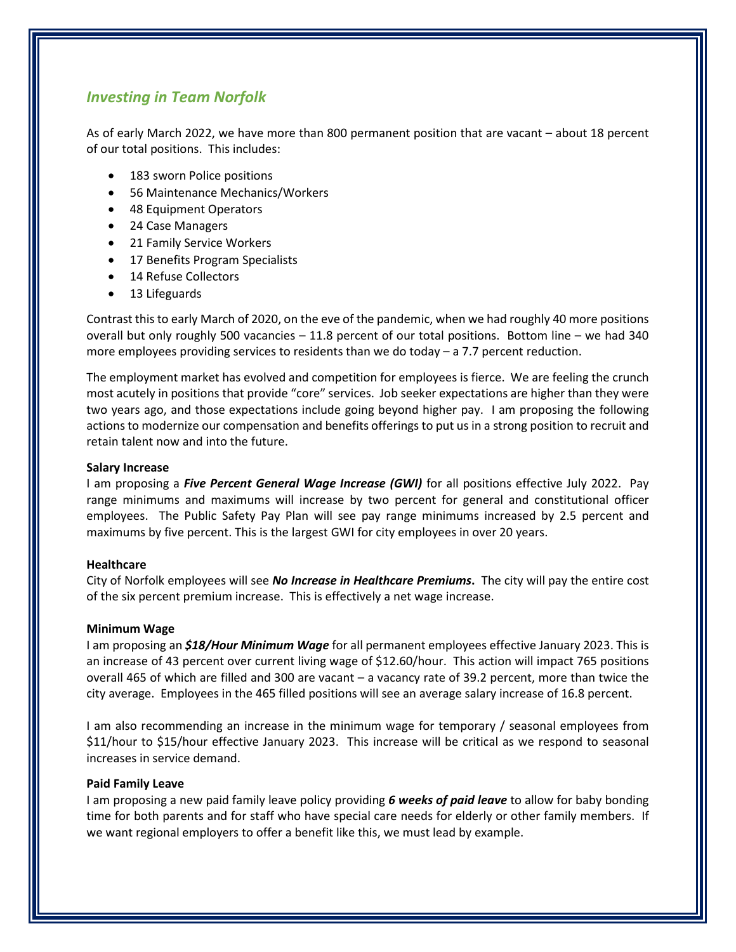# *Investing in Team Norfolk*

As of early March 2022, we have more than 800 permanent position that are vacant – about 18 percent of our total positions. This includes:

- 183 sworn Police positions
- 56 Maintenance Mechanics/Workers
- 48 Equipment Operators
- 24 Case Managers
- 21 Family Service Workers
- 17 Benefits Program Specialists
- 14 Refuse Collectors
- 13 Lifeguards

Contrast this to early March of 2020, on the eve of the pandemic, when we had roughly 40 more positions overall but only roughly 500 vacancies – 11.8 percent of our total positions. Bottom line – we had 340 more employees providing services to residents than we do today – a 7.7 percent reduction.

The employment market has evolved and competition for employees is fierce. We are feeling the crunch most acutely in positions that provide "core" services. Job seeker expectations are higher than they were two years ago, and those expectations include going beyond higher pay. I am proposing the following actions to modernize our compensation and benefits offerings to put us in a strong position to recruit and retain talent now and into the future.

### **Salary Increase**

I am proposing a *Five Percent General Wage Increase (GWI)* for all positions effective July 2022. Pay range minimums and maximums will increase by two percent for general and constitutional officer employees. The Public Safety Pay Plan will see pay range minimums increased by 2.5 percent and maximums by five percent. This is the largest GWI for city employees in over 20 years.

### **Healthcare**

City of Norfolk employees will see *No Increase in Healthcare Premiums***.** The city will pay the entire cost of the six percent premium increase. This is effectively a net wage increase.

### **Minimum Wage**

I am proposing an *\$18/Hour Minimum Wage* for all permanent employees effective January 2023. This is an increase of 43 percent over current living wage of \$12.60/hour. This action will impact 765 positions overall 465 of which are filled and 300 are vacant – a vacancy rate of 39.2 percent, more than twice the city average. Employees in the 465 filled positions will see an average salary increase of 16.8 percent.

I am also recommending an increase in the minimum wage for temporary / seasonal employees from \$11/hour to \$15/hour effective January 2023. This increase will be critical as we respond to seasonal increases in service demand.

### **Paid Family Leave**

I am proposing a new paid family leave policy providing *6 weeks of paid leave* to allow for baby bonding time for both parents and for staff who have special care needs for elderly or other family members. If we want regional employers to offer a benefit like this, we must lead by example.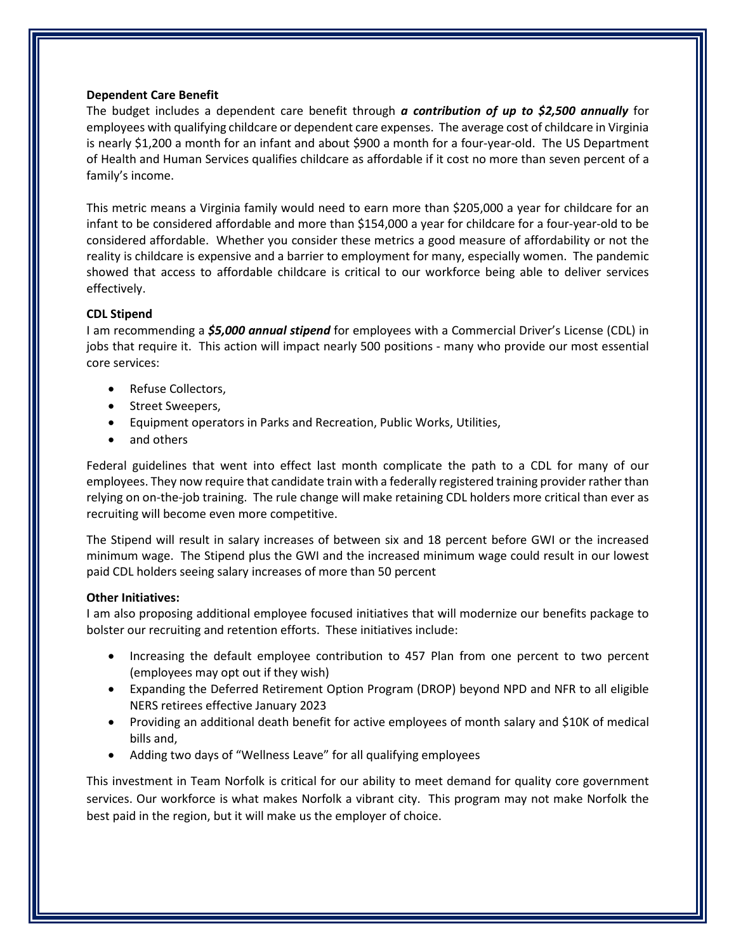### **Dependent Care Benefit**

The budget includes a dependent care benefit through *a contribution of up to \$2,500 annually* for employees with qualifying childcare or dependent care expenses. The average cost of childcare in Virginia is nearly \$1,200 a month for an infant and about \$900 a month for a four-year-old. The US Department of Health and Human Services qualifies childcare as affordable if it cost no more than seven percent of a family's income.

This metric means a Virginia family would need to earn more than \$205,000 a year for childcare for an infant to be considered affordable and more than \$154,000 a year for childcare for a four-year-old to be considered affordable. Whether you consider these metrics a good measure of affordability or not the reality is childcare is expensive and a barrier to employment for many, especially women. The pandemic showed that access to affordable childcare is critical to our workforce being able to deliver services effectively.

### **CDL Stipend**

I am recommending a *\$5,000 annual stipend* for employees with a Commercial Driver's License (CDL) in jobs that require it. This action will impact nearly 500 positions - many who provide our most essential core services:

- Refuse Collectors,
- Street Sweepers,
- Equipment operators in Parks and Recreation, Public Works, Utilities,
- and others

Federal guidelines that went into effect last month complicate the path to a CDL for many of our employees. They now require that candidate train with a federally registered training provider rather than relying on on-the-job training. The rule change will make retaining CDL holders more critical than ever as recruiting will become even more competitive.

The Stipend will result in salary increases of between six and 18 percent before GWI or the increased minimum wage. The Stipend plus the GWI and the increased minimum wage could result in our lowest paid CDL holders seeing salary increases of more than 50 percent

### **Other Initiatives:**

I am also proposing additional employee focused initiatives that will modernize our benefits package to bolster our recruiting and retention efforts. These initiatives include:

- Increasing the default employee contribution to 457 Plan from one percent to two percent (employees may opt out if they wish)
- Expanding the Deferred Retirement Option Program (DROP) beyond NPD and NFR to all eligible NERS retirees effective January 2023
- Providing an additional death benefit for active employees of month salary and \$10K of medical bills and,
- Adding two days of "Wellness Leave" for all qualifying employees

This investment in Team Norfolk is critical for our ability to meet demand for quality core government services. Our workforce is what makes Norfolk a vibrant city. This program may not make Norfolk the best paid in the region, but it will make us the employer of choice.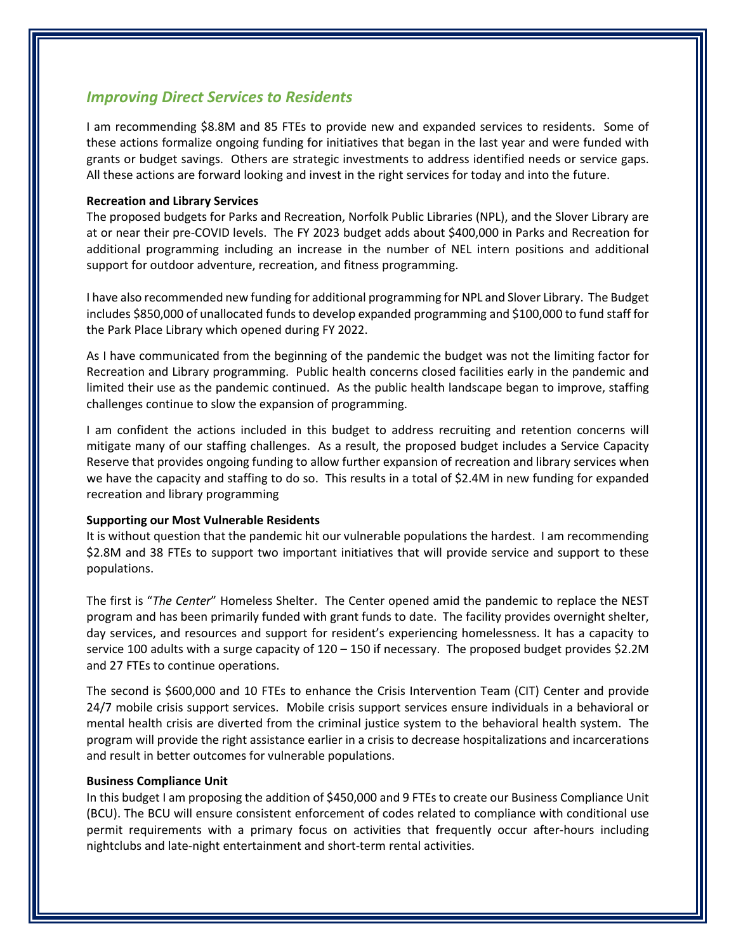## *Improving Direct Services to Residents*

I am recommending \$8.8M and 85 FTEs to provide new and expanded services to residents. Some of these actions formalize ongoing funding for initiatives that began in the last year and were funded with grants or budget savings. Others are strategic investments to address identified needs or service gaps. All these actions are forward looking and invest in the right services for today and into the future.

### **Recreation and Library Services**

The proposed budgets for Parks and Recreation, Norfolk Public Libraries (NPL), and the Slover Library are at or near their pre-COVID levels. The FY 2023 budget adds about \$400,000 in Parks and Recreation for additional programming including an increase in the number of NEL intern positions and additional support for outdoor adventure, recreation, and fitness programming.

I have also recommended new funding for additional programming for NPL and Slover Library. The Budget includes \$850,000 of unallocated funds to develop expanded programming and \$100,000 to fund staff for the Park Place Library which opened during FY 2022.

As I have communicated from the beginning of the pandemic the budget was not the limiting factor for Recreation and Library programming. Public health concerns closed facilities early in the pandemic and limited their use as the pandemic continued. As the public health landscape began to improve, staffing challenges continue to slow the expansion of programming.

I am confident the actions included in this budget to address recruiting and retention concerns will mitigate many of our staffing challenges. As a result, the proposed budget includes a Service Capacity Reserve that provides ongoing funding to allow further expansion of recreation and library services when we have the capacity and staffing to do so. This results in a total of \$2.4M in new funding for expanded recreation and library programming

### **Supporting our Most Vulnerable Residents**

It is without question that the pandemic hit our vulnerable populations the hardest. I am recommending \$2.8M and 38 FTEs to support two important initiatives that will provide service and support to these populations.

The first is "*The Center*" Homeless Shelter. The Center opened amid the pandemic to replace the NEST program and has been primarily funded with grant funds to date. The facility provides overnight shelter, day services, and resources and support for resident's experiencing homelessness. It has a capacity to service 100 adults with a surge capacity of 120 – 150 if necessary. The proposed budget provides \$2.2M and 27 FTEs to continue operations.

The second is \$600,000 and 10 FTEs to enhance the Crisis Intervention Team (CIT) Center and provide 24/7 mobile crisis support services. Mobile crisis support services ensure individuals in a behavioral or mental health crisis are diverted from the criminal justice system to the behavioral health system. The program will provide the right assistance earlier in a crisis to decrease hospitalizations and incarcerations and result in better outcomes for vulnerable populations.

### **Business Compliance Unit**

In this budget I am proposing the addition of \$450,000 and 9 FTEs to create our Business Compliance Unit (BCU). The BCU will ensure consistent enforcement of codes related to compliance with conditional use permit requirements with a primary focus on activities that frequently occur after-hours including nightclubs and late-night entertainment and short-term rental activities.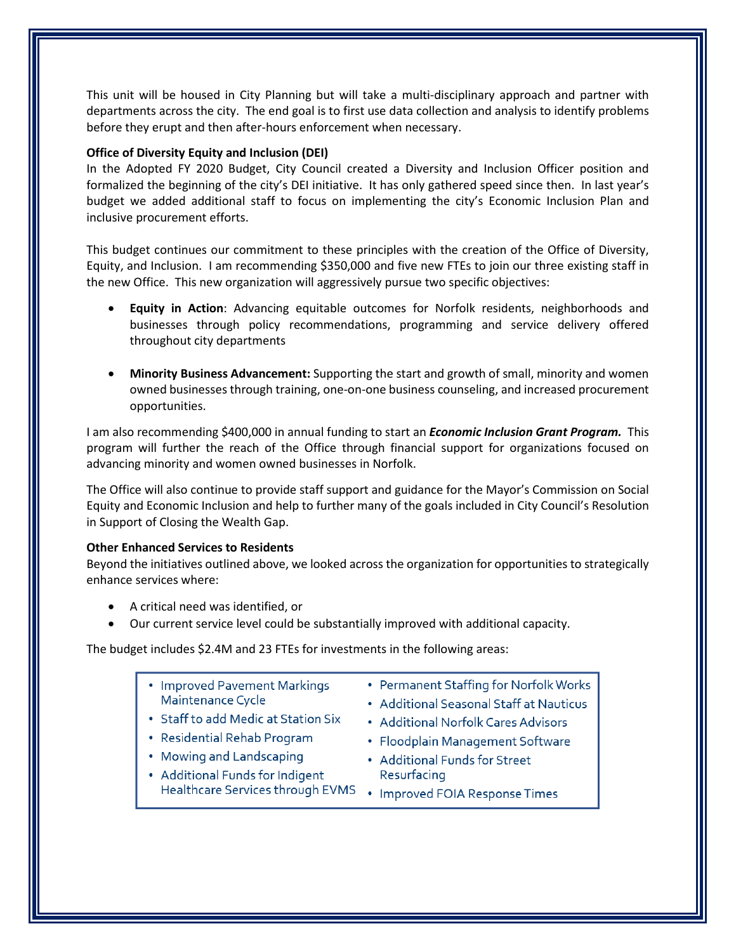This unit will be housed in City Planning but will take a multi-disciplinary approach and partner with departments across the city. The end goal is to first use data collection and analysis to identify problems before they erupt and then after-hours enforcement when necessary.

### **Office of Diversity Equity and Inclusion (DEI)**

In the Adopted FY 2020 Budget, City Council created a Diversity and Inclusion Officer position and formalized the beginning of the city's DEI initiative. It has only gathered speed since then. In last year's budget we added additional staff to focus on implementing the city's Economic Inclusion Plan and inclusive procurement efforts.

This budget continues our commitment to these principles with the creation of the Office of Diversity, Equity, and Inclusion. I am recommending \$350,000 and five new FTEs to join our three existing staff in the new Office. This new organization will aggressively pursue two specific objectives:

- **Equity in Action**: Advancing equitable outcomes for Norfolk residents, neighborhoods and businesses through policy recommendations, programming and service delivery offered throughout city departments
- **Minority Business Advancement:** Supporting the start and growth of small, minority and women owned businesses through training, one-on-one business counseling, and increased procurement opportunities.

I am also recommending \$400,000 in annual funding to start an *Economic Inclusion Grant Program.* This program will further the reach of the Office through financial support for organizations focused on advancing minority and women owned businesses in Norfolk.

The Office will also continue to provide staff support and guidance for the Mayor's Commission on Social Equity and Economic Inclusion and help to further many of the goals included in City Council's Resolution in Support of Closing the Wealth Gap.

### **Other Enhanced Services to Residents**

Beyond the initiatives outlined above, we looked across the organization for opportunities to strategically enhance services where:

- A critical need was identified, or
- Our current service level could be substantially improved with additional capacity.

The budget includes \$2.4M and 23 FTEs for investments in the following areas:

- Improved Pavement Markings Maintenance Cycle
- Staff to add Medic at Station Six
- Residential Rehab Program
- Mowing and Landscaping
- Additional Funds for Indigent Healthcare Services through EVMS • Improved FOIA Response Times
- Permanent Staffing for Norfolk Works
- Additional Seasonal Staff at Nauticus
- Additional Norfolk Cares Advisors
- Floodplain Management Software
- Additional Funds for Street Resurfacing
	-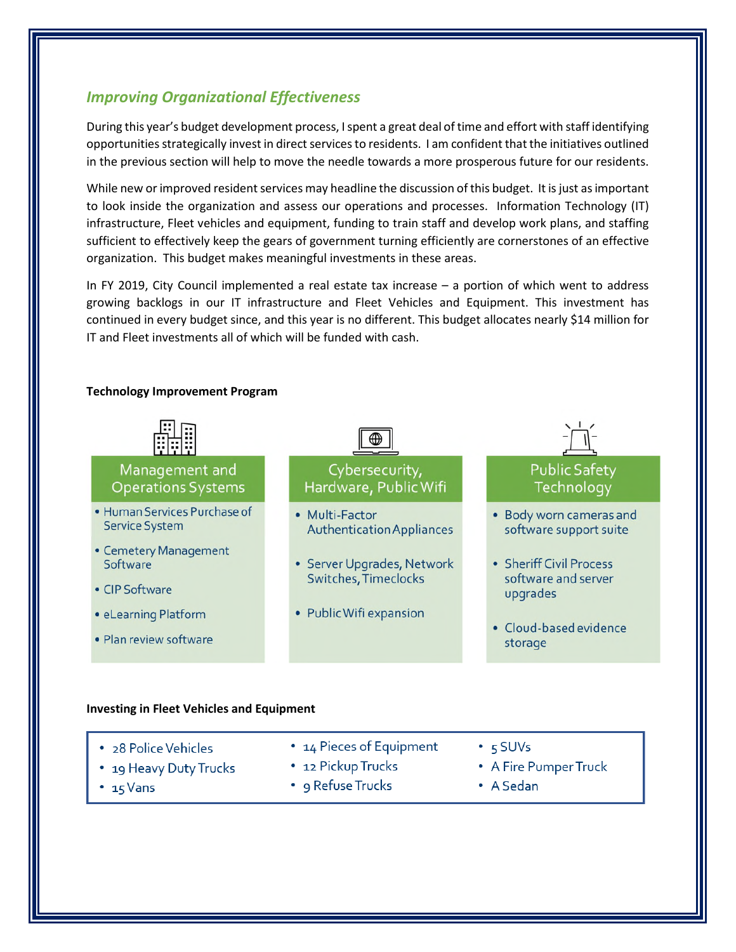# *Improving Organizational Effectiveness*

During this year's budget development process, I spent a great deal of time and effort with staff identifying opportunities strategically invest in direct services to residents. I am confident that the initiatives outlined in the previous section will help to move the needle towards a more prosperous future for our residents.

While new or improved resident services may headline the discussion of this budget. It is just as important to look inside the organization and assess our operations and processes. Information Technology (IT) infrastructure, Fleet vehicles and equipment, funding to train staff and develop work plans, and staffing sufficient to effectively keep the gears of government turning efficiently are cornerstones of an effective organization. This budget makes meaningful investments in these areas.

In FY 2019, City Council implemented a real estate tax increase – a portion of which went to address growing backlogs in our IT infrastructure and Fleet Vehicles and Equipment. This investment has continued in every budget since, and this year is no different. This budget allocates nearly \$14 million for IT and Fleet investments all of which will be funded with cash.

#### ⊕ Management and Cybersecurity, **Public Safety Operations Systems** Hardware, Public Wifi Technology · Human Services Purchase of • Multi-Factor · Body worn cameras and **Service System Authentication Appliances** software support suite • Cemetery Management • Sheriff Civil Process • Server Upgrades, Network Software Switches, Timeclocks software and server • CIP Software upgrades · eLearning Platform • Public Wifi expansion · Cloud-based evidence · Plan review software storage

### **Technology Improvement Program**

### **Investing in Fleet Vehicles and Equipment**

| • 28 Police Vehicles   | • 14 Pieces of Equipment | $\cdot$ 5 SUVs        |
|------------------------|--------------------------|-----------------------|
| • 19 Heavy Duty Trucks | • 12 Pickup Trucks       | • A Fire Pumper Truck |
| • $15$ Vans            | • 9 Refuse Trucks        | $\bullet$ A Sedan     |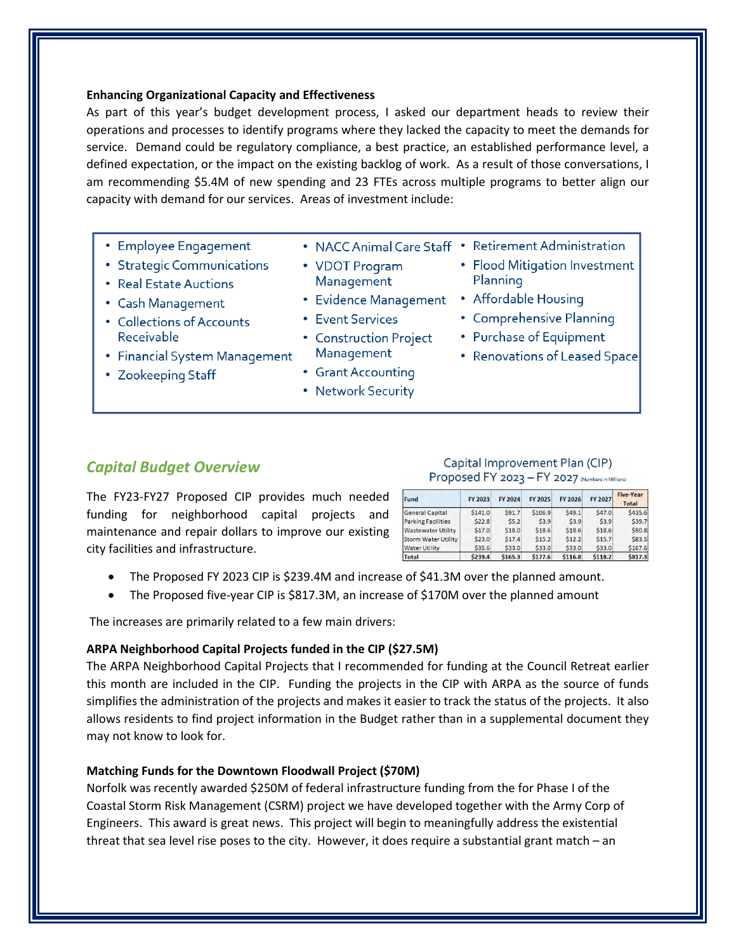### **Enhancing Organizational Capacity and Effectiveness**

As part of this year's budget development process, I asked our department heads to review their operations and processes to identify programs where they lacked the capacity to meet the demands for service. Demand could be regulatory compliance, a best practice, an established performance level, a defined expectation, or the impact on the existing backlog of work. As a result of those conversations, I am recommending \$5.4M of new spending and 23 FTEs across multiple programs to better align our capacity with demand for our services. Areas of investment include:

- Employee Engagement
- Strategic Communications
- Real Estate Auctions
- Cash Management
- Collections of Accounts Receivable
- Financial System Management
- Zookeeping Staff
- 
- VDOT Program Management
- Evidence Management Affordable Housing
- Event Services
- Construction Project Management
- Grant Accounting
- Network Security
- NACC Animal Care Staff Retirement Administration
	- Flood Mitigation Investment Planning
	-
	- Comprehensive Planning
	- Purchase of Equipment
	- Renovations of Leased Space

## *Capital Budget Overview*

### Capital Improvement Plan (CIP) Proposed FY 2023 - FY 2027 (Numbers in Millions)

The FY23-FY27 Proposed CIP provides much needed funding for neighborhood capital projects and maintenance and repair dollars to improve our existing city facilities and infrastructure.

| Fund                      | FY 2023 | FY 2024 | FY 2025 | FY 2026 | FY 2027 | <b>Five-Year</b><br>Total |
|---------------------------|---------|---------|---------|---------|---------|---------------------------|
| General Capital           | \$141.0 | \$91.7  | \$106.9 | \$49.1  | \$47.0  | \$435.6                   |
| <b>Parking Facilities</b> | \$22.8  | 55.2    | \$3.9   | 53.9    | \$3.9   | \$39.7                    |
| <b>Wastewater Utility</b> | \$17.0  | \$18.0  | \$18.6  | \$18.6  | \$18.6  | \$90.8                    |
| Storm Water Utility       | \$23.0  | 517.4   | 515.2   | 512.2   | 515.7   | \$83.5                    |
| <b>Water Utility</b>      | \$35.6  | \$33.0  | \$33.0  | \$33.0  | \$33.0  | \$167.6                   |
| Total                     | \$239.4 | \$165.3 | \$177.6 | \$116.8 | \$118.2 | \$817.3                   |

- The Proposed FY 2023 CIP is \$239.4M and increase of \$41.3M over the planned amount.
- The Proposed five-year CIP is \$817.3M, an increase of \$170M over the planned amount

The increases are primarily related to a few main drivers:

### **ARPA Neighborhood Capital Projects funded in the CIP (\$27.5M)**

The ARPA Neighborhood Capital Projects that I recommended for funding at the Council Retreat earlier this month are included in the CIP. Funding the projects in the CIP with ARPA as the source of funds simplifies the administration of the projects and makes it easier to track the status of the projects. It also allows residents to find project information in the Budget rather than in a supplemental document they may not know to look for.

### **Matching Funds for the Downtown Floodwall Project (\$70M)**

Norfolk was recently awarded \$250M of federal infrastructure funding from the for Phase I of the Coastal Storm Risk Management (CSRM) project we have developed together with the Army Corp of Engineers. This award is great news. This project will begin to meaningfully address the existential threat that sea level rise poses to the city. However, it does require a substantial grant match – an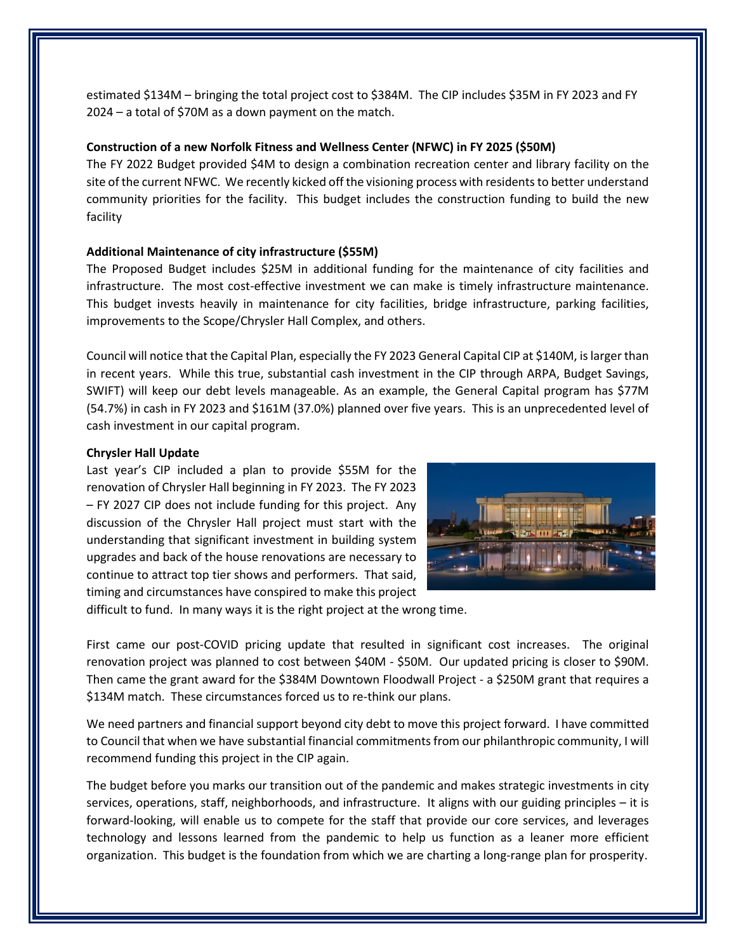estimated \$134M – bringing the total project cost to \$384M. The CIP includes \$35M in FY 2023 and FY 2024 – a total of \$70M as a down payment on the match.

### **Construction of a new Norfolk Fitness and Wellness Center (NFWC) in FY 2025 (\$50M)**

The FY 2022 Budget provided \$4M to design a combination recreation center and library facility on the site of the current NFWC. We recently kicked off the visioning process with residents to better understand community priorities for the facility. This budget includes the construction funding to build the new facility

### **Additional Maintenance of city infrastructure (\$55M)**

The Proposed Budget includes \$25M in additional funding for the maintenance of city facilities and infrastructure. The most cost-effective investment we can make is timely infrastructure maintenance. This budget invests heavily in maintenance for city facilities, bridge infrastructure, parking facilities, improvements to the Scope/Chrysler Hall Complex, and others.

Council will notice that the Capital Plan, especially the FY 2023 General Capital CIP at \$140M, is larger than in recent years. While this true, substantial cash investment in the CIP through ARPA, Budget Savings, SWIFT) will keep our debt levels manageable. As an example, the General Capital program has \$77M (54.7%) in cash in FY 2023 and \$161M (37.0%) planned over five years. This is an unprecedented level of cash investment in our capital program.

#### **Chrysler Hall Update**

Last year's CIP included a plan to provide \$55M for the renovation of Chrysler Hall beginning in FY 2023. The FY 2023 – FY 2027 CIP does not include funding for this project. Any discussion of the Chrysler Hall project must start with the understanding that significant investment in building system upgrades and back of the house renovations are necessary to continue to attract top tier shows and performers. That said, timing and circumstances have conspired to make this project



difficult to fund. In many ways it is the right project at the wrong time.

First came our post-COVID pricing update that resulted in significant cost increases. The original renovation project was planned to cost between \$40M - \$50M. Our updated pricing is closer to \$90M. Then came the grant award for the \$384M Downtown Floodwall Project - a \$250M grant that requires a \$134M match. These circumstances forced us to re-think our plans.

We need partners and financial support beyond city debt to move this project forward. I have committed to Council that when we have substantial financial commitments from our philanthropic community, I will recommend funding this project in the CIP again.

The budget before you marks our transition out of the pandemic and makes strategic investments in city services, operations, staff, neighborhoods, and infrastructure. It aligns with our guiding principles – it is forward-looking, will enable us to compete for the staff that provide our core services, and leverages technology and lessons learned from the pandemic to help us function as a leaner more efficient organization. This budget is the foundation from which we are charting a long-range plan for prosperity.